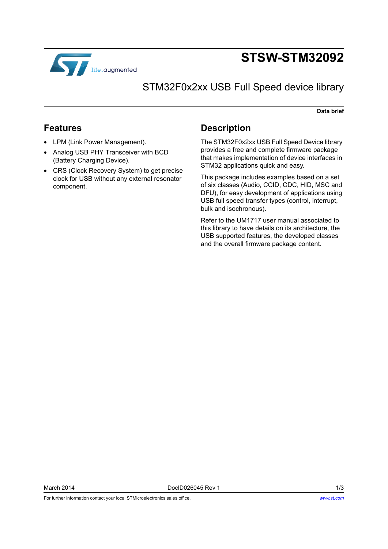

# **STSW-STM32092**

## STM32F0x2xx USB Full Speed device library

#### **Data brief**

### **Features**

- LPM (Link Power Management).
- Analog USB PHY Transceiver with BCD (Battery Charging Device).
- CRS (Clock Recovery System) to get precise clock for USB without any external resonator component.

### **Description**

The STM32F0x2xx USB Full Speed Device library provides a free and complete firmware package that makes implementation of device interfaces in STM32 applications quick and easy.

This package includes examples based on a set of six classes (Audio, CCID, CDC, HID, MSC and DFU), for easy development of applications using USB full speed transfer types (control, interrupt, bulk and isochronous).

Refer to the UM1717 user manual associated to this library to have details on its architecture, the USB supported features, the developed classes and the overall firmware package content.

For further information contact your local STMicroelectronics sales office.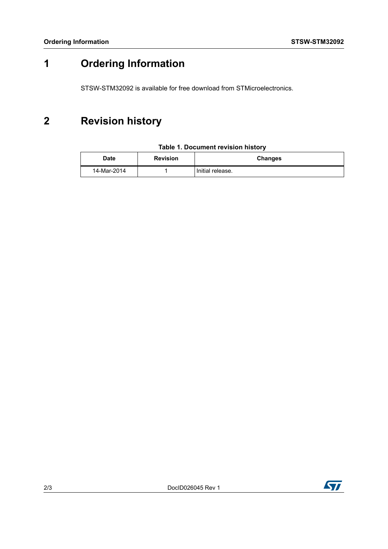## **1 Ordering Information**

STSW-STM32092 is available for free download from STMicroelectronics.

## **2 Revision history**

| <b>Date</b> | <b>Revision</b> | <b>Changes</b>   |
|-------------|-----------------|------------------|
| 14-Mar-2014 |                 | Initial release. |

### **Table 1. Document revision history**